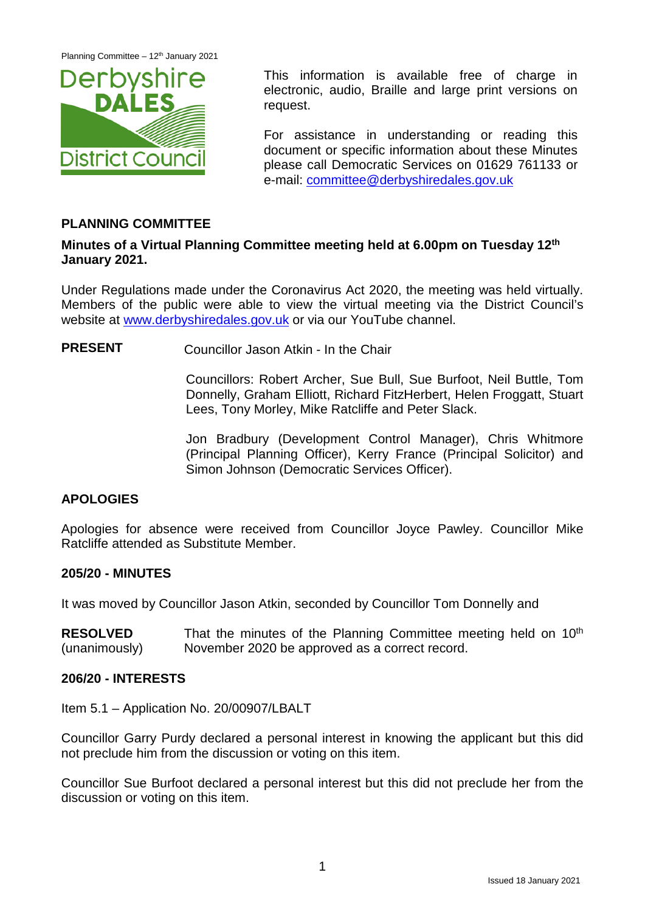Planning Committee – 12<sup>th</sup> January 2021



This information is available free of charge in electronic, audio, Braille and large print versions on request.

For assistance in understanding or reading this document or specific information about these Minutes please call Democratic Services on 01629 761133 or e-mail: [committee@derbyshiredales.gov.uk](mailto:committee@derbyshiredales.gov.uk)

# **PLANNING COMMITTEE**

## **Minutes of a Virtual Planning Committee meeting held at 6.00pm on Tuesday 12th January 2021.**

Under Regulations made under the Coronavirus Act 2020, the meeting was held virtually. Members of the public were able to view the virtual meeting via the District Council's website at [www.derbyshiredales.gov.uk](http://www.derbyshiredales.gov.uk/) or via our YouTube channel.

**PRESENT** Councillor Jason Atkin - In the Chair

Councillors: Robert Archer, Sue Bull, Sue Burfoot, Neil Buttle, Tom Donnelly, Graham Elliott, Richard FitzHerbert, Helen Froggatt, Stuart Lees, Tony Morley, Mike Ratcliffe and Peter Slack.

Jon Bradbury (Development Control Manager), Chris Whitmore (Principal Planning Officer), Kerry France (Principal Solicitor) and Simon Johnson (Democratic Services Officer).

# **APOLOGIES**

Apologies for absence were received from Councillor Joyce Pawley. Councillor Mike Ratcliffe attended as Substitute Member.

# **205/20 - MINUTES**

It was moved by Councillor Jason Atkin, seconded by Councillor Tom Donnelly and

**RESOLVED** (unanimously) That the minutes of the Planning Committee meeting held on  $10<sup>th</sup>$ November 2020 be approved as a correct record.

## **206/20 - INTERESTS**

Item 5.1 – Application No. 20/00907/LBALT

Councillor Garry Purdy declared a personal interest in knowing the applicant but this did not preclude him from the discussion or voting on this item.

Councillor Sue Burfoot declared a personal interest but this did not preclude her from the discussion or voting on this item.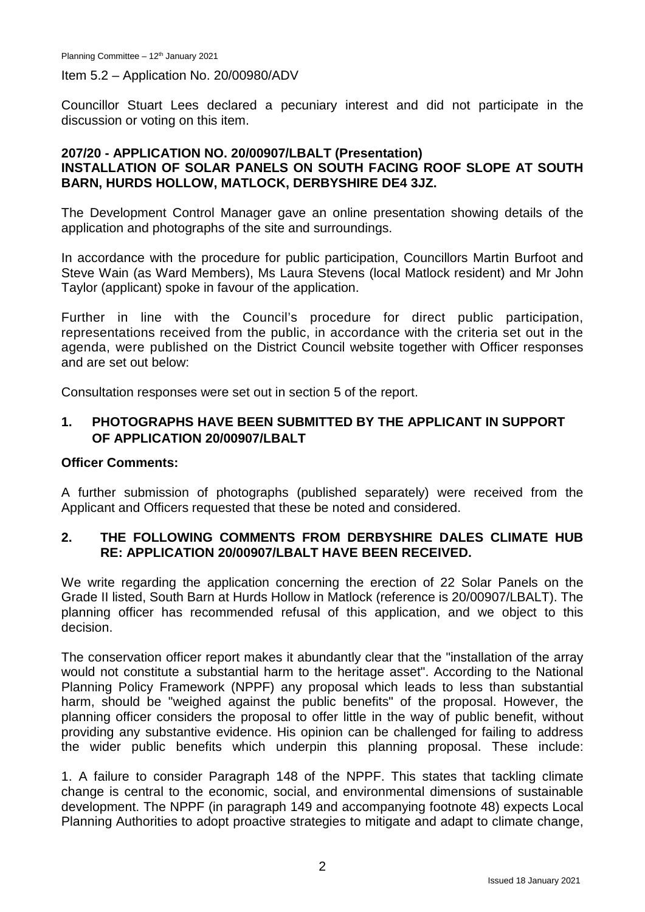Planning Committee - 12<sup>th</sup> January 2021

Item 5.2 – Application No. 20/00980/ADV

Councillor Stuart Lees declared a pecuniary interest and did not participate in the discussion or voting on this item.

#### **207/20 - APPLICATION NO. 20/00907/LBALT (Presentation) INSTALLATION OF SOLAR PANELS ON SOUTH FACING ROOF SLOPE AT SOUTH BARN, HURDS HOLLOW, MATLOCK, DERBYSHIRE DE4 3JZ.**

The Development Control Manager gave an online presentation showing details of the application and photographs of the site and surroundings.

In accordance with the procedure for public participation, Councillors Martin Burfoot and Steve Wain (as Ward Members), Ms Laura Stevens (local Matlock resident) and Mr John Taylor (applicant) spoke in favour of the application.

Further in line with the Council's procedure for direct public participation, representations received from the public, in accordance with the criteria set out in the agenda, were published on the District Council website together with Officer responses and are set out below:

Consultation responses were set out in section 5 of the report.

## **1. PHOTOGRAPHS HAVE BEEN SUBMITTED BY THE APPLICANT IN SUPPORT OF APPLICATION 20/00907/LBALT**

#### **Officer Comments:**

A further submission of photographs (published separately) were received from the Applicant and Officers requested that these be noted and considered.

## **2. THE FOLLOWING COMMENTS FROM DERBYSHIRE DALES CLIMATE HUB RE: APPLICATION 20/00907/LBALT HAVE BEEN RECEIVED.**

We write regarding the application concerning the erection of 22 Solar Panels on the Grade II listed, South Barn at Hurds Hollow in Matlock (reference is 20/00907/LBALT). The planning officer has recommended refusal of this application, and we object to this decision.

The conservation officer report makes it abundantly clear that the "installation of the array would not constitute a substantial harm to the heritage asset". According to the National Planning Policy Framework (NPPF) any proposal which leads to less than substantial harm, should be "weighed against the public benefits" of the proposal. However, the planning officer considers the proposal to offer little in the way of public benefit, without providing any substantive evidence. His opinion can be challenged for failing to address the wider public benefits which underpin this planning proposal. These include:

1. A failure to consider Paragraph 148 of the NPPF. This states that tackling climate change is central to the economic, social, and environmental dimensions of sustainable development. The NPPF (in paragraph 149 and accompanying footnote 48) expects Local Planning Authorities to adopt proactive strategies to mitigate and adapt to climate change,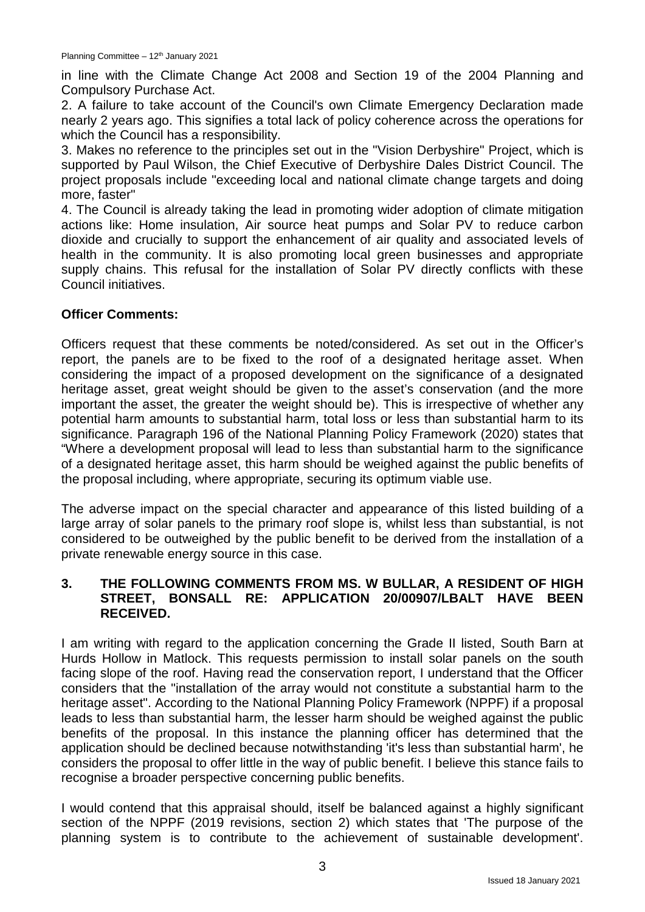in line with the Climate Change Act 2008 and Section 19 of the 2004 Planning and Compulsory Purchase Act.

2. A failure to take account of the Council's own Climate Emergency Declaration made nearly 2 years ago. This signifies a total lack of policy coherence across the operations for which the Council has a responsibility.

3. Makes no reference to the principles set out in the "Vision Derbyshire" Project, which is supported by Paul Wilson, the Chief Executive of Derbyshire Dales District Council. The project proposals include "exceeding local and national climate change targets and doing more, faster"

4. The Council is already taking the lead in promoting wider adoption of climate mitigation actions like: Home insulation, Air source heat pumps and Solar PV to reduce carbon dioxide and crucially to support the enhancement of air quality and associated levels of health in the community. It is also promoting local green businesses and appropriate supply chains. This refusal for the installation of Solar PV directly conflicts with these Council initiatives.

## **Officer Comments:**

Officers request that these comments be noted/considered. As set out in the Officer's report, the panels are to be fixed to the roof of a designated heritage asset. When considering the impact of a proposed development on the significance of a designated heritage asset, great weight should be given to the asset's conservation (and the more important the asset, the greater the weight should be). This is irrespective of whether any potential harm amounts to substantial harm, total loss or less than substantial harm to its significance. Paragraph 196 of the National Planning Policy Framework (2020) states that "Where a development proposal will lead to less than substantial harm to the significance of a designated heritage asset, this harm should be weighed against the public benefits of the proposal including, where appropriate, securing its optimum viable use.

The adverse impact on the special character and appearance of this listed building of a large array of solar panels to the primary roof slope is, whilst less than substantial, is not considered to be outweighed by the public benefit to be derived from the installation of a private renewable energy source in this case.

## **3. THE FOLLOWING COMMENTS FROM MS. W BULLAR, A RESIDENT OF HIGH STREET, BONSALL RE: APPLICATION 20/00907/LBALT HAVE BEEN RECEIVED.**

I am writing with regard to the application concerning the Grade II listed, South Barn at Hurds Hollow in Matlock. This requests permission to install solar panels on the south facing slope of the roof. Having read the conservation report, I understand that the Officer considers that the "installation of the array would not constitute a substantial harm to the heritage asset". According to the National Planning Policy Framework (NPPF) if a proposal leads to less than substantial harm, the lesser harm should be weighed against the public benefits of the proposal. In this instance the planning officer has determined that the application should be declined because notwithstanding 'it's less than substantial harm', he considers the proposal to offer little in the way of public benefit. I believe this stance fails to recognise a broader perspective concerning public benefits.

I would contend that this appraisal should, itself be balanced against a highly significant section of the NPPF (2019 revisions, section 2) which states that 'The purpose of the planning system is to contribute to the achievement of sustainable development'.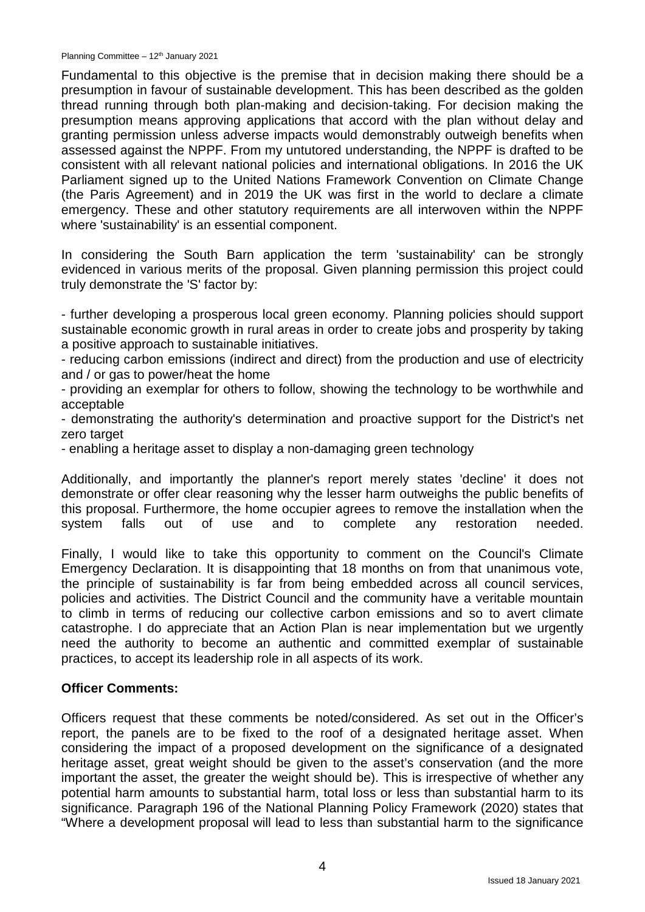Planning Committee - 12<sup>th</sup> January 2021

Fundamental to this objective is the premise that in decision making there should be a presumption in favour of sustainable development. This has been described as the golden thread running through both plan-making and decision-taking. For decision making the presumption means approving applications that accord with the plan without delay and granting permission unless adverse impacts would demonstrably outweigh benefits when assessed against the NPPF. From my untutored understanding, the NPPF is drafted to be consistent with all relevant national policies and international obligations. In 2016 the UK Parliament signed up to the United Nations Framework Convention on Climate Change (the Paris Agreement) and in 2019 the UK was first in the world to declare a climate emergency. These and other statutory requirements are all interwoven within the NPPF where 'sustainability' is an essential component.

In considering the South Barn application the term 'sustainability' can be strongly evidenced in various merits of the proposal. Given planning permission this project could truly demonstrate the 'S' factor by:

- further developing a prosperous local green economy. Planning policies should support sustainable economic growth in rural areas in order to create jobs and prosperity by taking a positive approach to sustainable initiatives.

- reducing carbon emissions (indirect and direct) from the production and use of electricity and / or gas to power/heat the home

- providing an exemplar for others to follow, showing the technology to be worthwhile and acceptable

- demonstrating the authority's determination and proactive support for the District's net zero target

- enabling a heritage asset to display a non-damaging green technology

Additionally, and importantly the planner's report merely states 'decline' it does not demonstrate or offer clear reasoning why the lesser harm outweighs the public benefits of this proposal. Furthermore, the home occupier agrees to remove the installation when the system falls out of use and to complete any restoration needed.

Finally, I would like to take this opportunity to comment on the Council's Climate Emergency Declaration. It is disappointing that 18 months on from that unanimous vote, the principle of sustainability is far from being embedded across all council services, policies and activities. The District Council and the community have a veritable mountain to climb in terms of reducing our collective carbon emissions and so to avert climate catastrophe. I do appreciate that an Action Plan is near implementation but we urgently need the authority to become an authentic and committed exemplar of sustainable practices, to accept its leadership role in all aspects of its work.

#### **Officer Comments:**

Officers request that these comments be noted/considered. As set out in the Officer's report, the panels are to be fixed to the roof of a designated heritage asset. When considering the impact of a proposed development on the significance of a designated heritage asset, great weight should be given to the asset's conservation (and the more important the asset, the greater the weight should be). This is irrespective of whether any potential harm amounts to substantial harm, total loss or less than substantial harm to its significance. Paragraph 196 of the National Planning Policy Framework (2020) states that "Where a development proposal will lead to less than substantial harm to the significance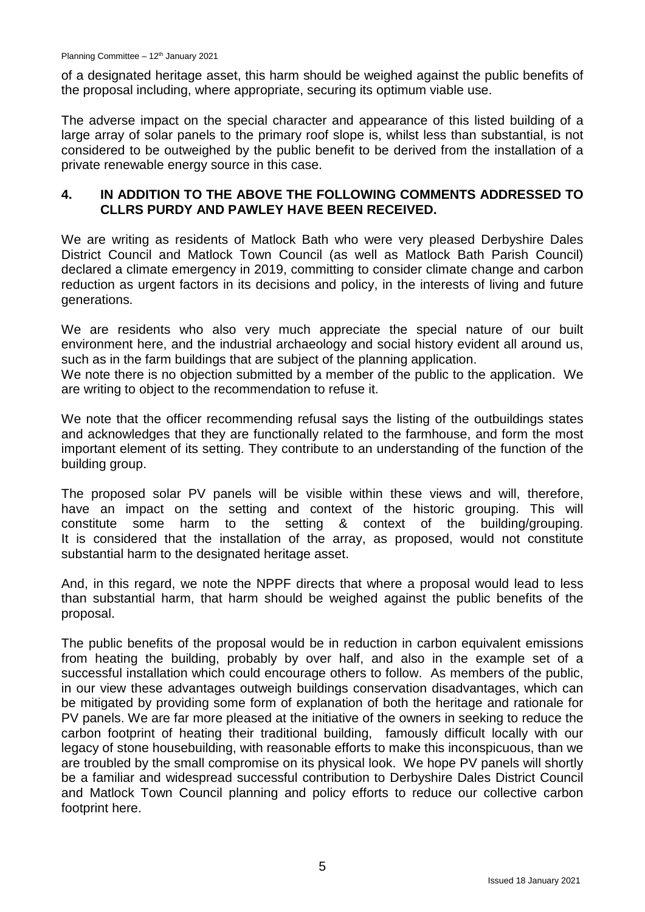of a designated heritage asset, this harm should be weighed against the public benefits of the proposal including, where appropriate, securing its optimum viable use.

The adverse impact on the special character and appearance of this listed building of a large array of solar panels to the primary roof slope is, whilst less than substantial, is not considered to be outweighed by the public benefit to be derived from the installation of a private renewable energy source in this case.

## **4. IN ADDITION TO THE ABOVE THE FOLLOWING COMMENTS ADDRESSED TO CLLRS PURDY AND PAWLEY HAVE BEEN RECEIVED.**

We are writing as residents of Matlock Bath who were very pleased Derbyshire Dales District Council and Matlock Town Council (as well as Matlock Bath Parish Council) declared a climate emergency in 2019, committing to consider climate change and carbon reduction as urgent factors in its decisions and policy, in the interests of living and future generations.

We are residents who also very much appreciate the special nature of our built environment here, and the industrial archaeology and social history evident all around us, such as in the farm buildings that are subject of the planning application.

We note there is no objection submitted by a member of the public to the application. We are writing to object to the recommendation to refuse it.

We note that the officer recommending refusal says the listing of the outbuildings states and acknowledges that they are functionally related to the farmhouse, and form the most important element of its setting. They contribute to an understanding of the function of the building group.

The proposed solar PV panels will be visible within these views and will, therefore, have an impact on the setting and context of the historic grouping. This will constitute some harm to the setting & context of the building/grouping. It is considered that the installation of the array, as proposed, would not constitute substantial harm to the designated heritage asset.

And, in this regard, we note the NPPF directs that where a proposal would lead to less than substantial harm, that harm should be weighed against the public benefits of the proposal.

The public benefits of the proposal would be in reduction in carbon equivalent emissions from heating the building, probably by over half, and also in the example set of a successful installation which could encourage others to follow. As members of the public, in our view these advantages outweigh buildings conservation disadvantages, which can be mitigated by providing some form of explanation of both the heritage and rationale for PV panels. We are far more pleased at the initiative of the owners in seeking to reduce the carbon footprint of heating their traditional building, famously difficult locally with our legacy of stone housebuilding, with reasonable efforts to make this inconspicuous, than we are troubled by the small compromise on its physical look. We hope PV panels will shortly be a familiar and widespread successful contribution to Derbyshire Dales District Council and Matlock Town Council planning and policy efforts to reduce our collective carbon footprint here.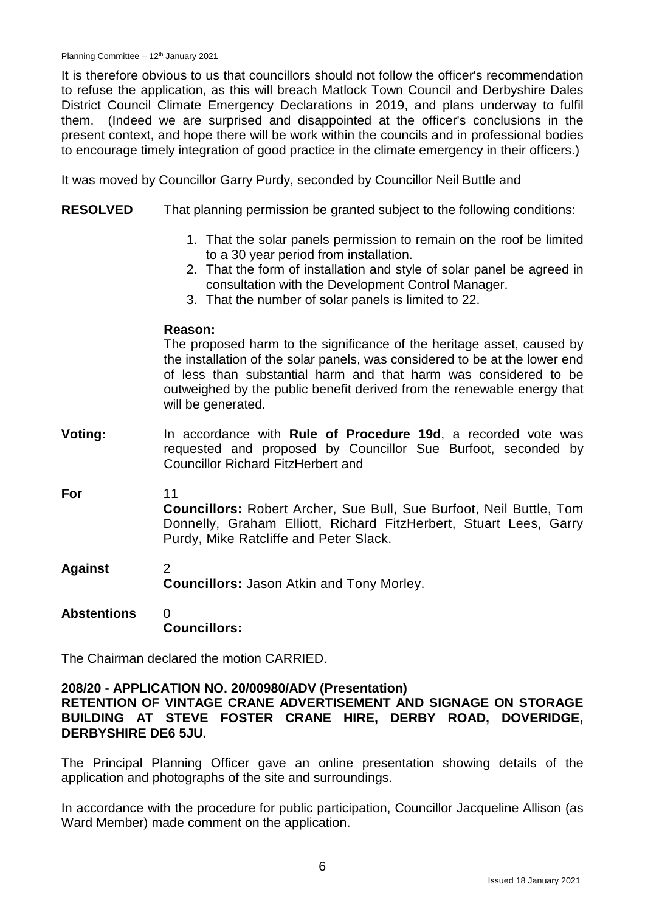It is therefore obvious to us that councillors should not follow the officer's recommendation to refuse the application, as this will breach Matlock Town Council and Derbyshire Dales District Council Climate Emergency Declarations in 2019, and plans underway to fulfil them. (Indeed we are surprised and disappointed at the officer's conclusions in the present context, and hope there will be work within the councils and in professional bodies to encourage timely integration of good practice in the climate emergency in their officers.)

It was moved by Councillor Garry Purdy, seconded by Councillor Neil Buttle and

- **RESOLVED** That planning permission be granted subject to the following conditions:
	- 1. That the solar panels permission to remain on the roof be limited to a 30 year period from installation.
	- 2. That the form of installation and style of solar panel be agreed in consultation with the Development Control Manager.
	- 3. That the number of solar panels is limited to 22.

#### **Reason:**

The proposed harm to the significance of the heritage asset, caused by the installation of the solar panels, was considered to be at the lower end of less than substantial harm and that harm was considered to be outweighed by the public benefit derived from the renewable energy that will be generated.

**Voting:** In accordance with **Rule of Procedure 19d**, a recorded vote was requested and proposed by Councillor Sue Burfoot, seconded by Councillor Richard FitzHerbert and

**For**

11

**Councillors:** Robert Archer, Sue Bull, Sue Burfoot, Neil Buttle, Tom Donnelly, Graham Elliott, Richard FitzHerbert, Stuart Lees, Garry Purdy, Mike Ratcliffe and Peter Slack.

- **Against** 2 **Councillors:** Jason Atkin and Tony Morley.
- **Abstentions**  $\Omega$ **Councillors:**

The Chairman declared the motion CARRIED.

#### **208/20 - APPLICATION NO. 20/00980/ADV (Presentation)**

**RETENTION OF VINTAGE CRANE ADVERTISEMENT AND SIGNAGE ON STORAGE BUILDING AT STEVE FOSTER CRANE HIRE, DERBY ROAD, DOVERIDGE, DERBYSHIRE DE6 5JU.**

The Principal Planning Officer gave an online presentation showing details of the application and photographs of the site and surroundings.

In accordance with the procedure for public participation, Councillor Jacqueline Allison (as Ward Member) made comment on the application.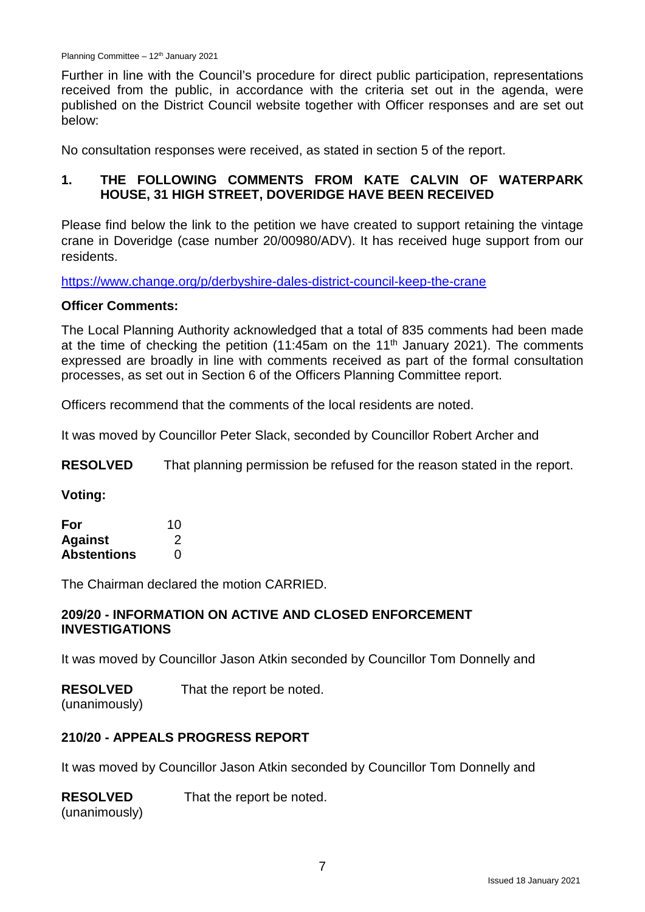Further in line with the Council's procedure for direct public participation, representations received from the public, in accordance with the criteria set out in the agenda, were published on the District Council website together with Officer responses and are set out below:

No consultation responses were received, as stated in section 5 of the report.

# **1. THE FOLLOWING COMMENTS FROM KATE CALVIN OF WATERPARK HOUSE, 31 HIGH STREET, DOVERIDGE HAVE BEEN RECEIVED**

Please find below the link to the petition we have created to support retaining the vintage crane in Doveridge (case number 20/00980/ADV). It has received huge support from our residents.

<https://www.change.org/p/derbyshire-dales-district-council-keep-the-crane>

#### **Officer Comments:**

The Local Planning Authority acknowledged that a total of 835 comments had been made at the time of checking the petition  $(11:45am)$  on the  $11<sup>th</sup>$  January 2021). The comments expressed are broadly in line with comments received as part of the formal consultation processes, as set out in Section 6 of the Officers Planning Committee report.

Officers recommend that the comments of the local residents are noted.

It was moved by Councillor Peter Slack, seconded by Councillor Robert Archer and

**RESOLVED** That planning permission be refused for the reason stated in the report.

**Voting:**

| For                | 10 |
|--------------------|----|
| <b>Against</b>     | 2  |
| <b>Abstentions</b> | 0  |

The Chairman declared the motion CARRIED.

## **209/20 - INFORMATION ON ACTIVE AND CLOSED ENFORCEMENT INVESTIGATIONS**

It was moved by Councillor Jason Atkin seconded by Councillor Tom Donnelly and

#### **RESOLVED** That the report be noted.

(unanimously)

# **210/20 - APPEALS PROGRESS REPORT**

It was moved by Councillor Jason Atkin seconded by Councillor Tom Donnelly and

**RESOLVED** That the report be noted.

(unanimously)